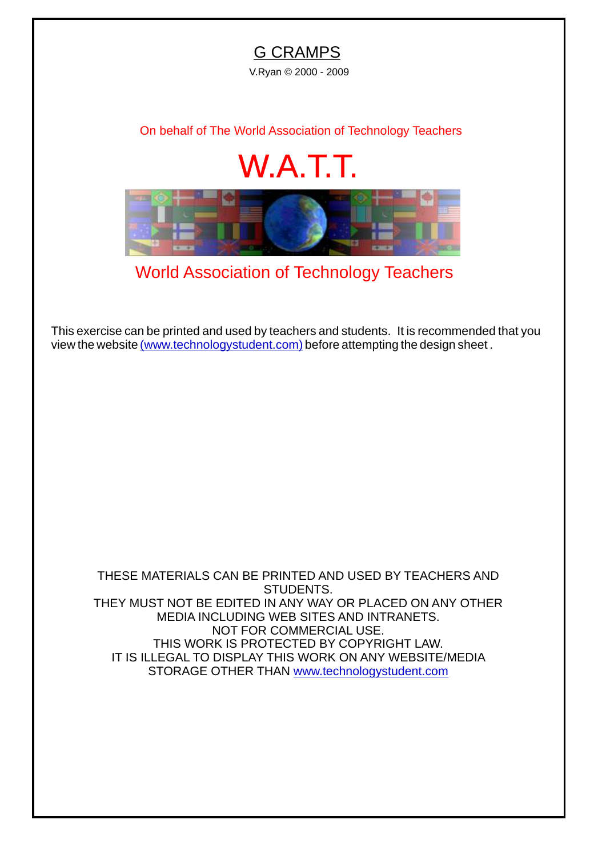